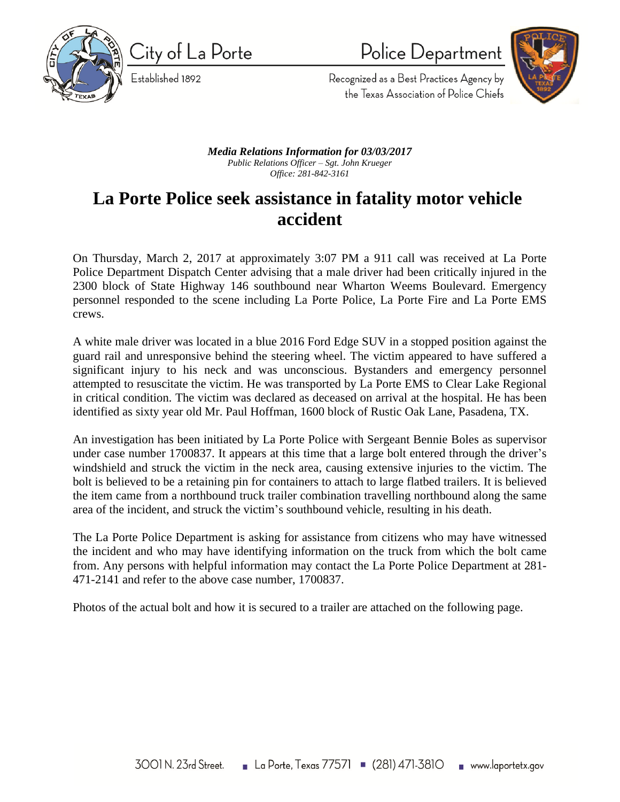

City of La Porte Established 1892

Police Department



Recognized as a Best Practices Agency by the Texas Association of Police Chiefs

## *Media Relations Information for 03/03/2017 Public Relations Officer – Sgt. John Krueger Office: 281-842-3161*

## **La Porte Police seek assistance in fatality motor vehicle accident**

On Thursday, March 2, 2017 at approximately 3:07 PM a 911 call was received at La Porte Police Department Dispatch Center advising that a male driver had been critically injured in the 2300 block of State Highway 146 southbound near Wharton Weems Boulevard. Emergency personnel responded to the scene including La Porte Police, La Porte Fire and La Porte EMS crews.

A white male driver was located in a blue 2016 Ford Edge SUV in a stopped position against the guard rail and unresponsive behind the steering wheel. The victim appeared to have suffered a significant injury to his neck and was unconscious. Bystanders and emergency personnel attempted to resuscitate the victim. He was transported by La Porte EMS to Clear Lake Regional in critical condition. The victim was declared as deceased on arrival at the hospital. He has been identified as sixty year old Mr. Paul Hoffman, 1600 block of Rustic Oak Lane, Pasadena, TX.

An investigation has been initiated by La Porte Police with Sergeant Bennie Boles as supervisor under case number 1700837. It appears at this time that a large bolt entered through the driver's windshield and struck the victim in the neck area, causing extensive injuries to the victim. The bolt is believed to be a retaining pin for containers to attach to large flatbed trailers. It is believed the item came from a northbound truck trailer combination travelling northbound along the same area of the incident, and struck the victim's southbound vehicle, resulting in his death.

The La Porte Police Department is asking for assistance from citizens who may have witnessed the incident and who may have identifying information on the truck from which the bolt came from. Any persons with helpful information may contact the La Porte Police Department at 281- 471-2141 and refer to the above case number, 1700837.

Photos of the actual bolt and how it is secured to a trailer are attached on the following page.